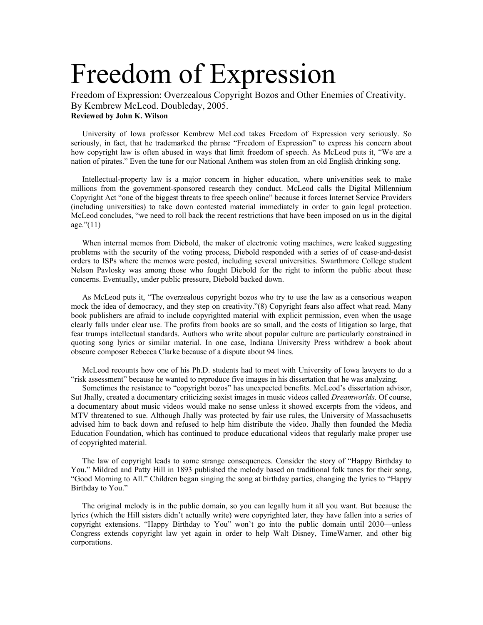## Freedom of Expression

Freedom of Expression: Overzealous Copyright Bozos and Other Enemies of Creativity. By Kembrew McLeod. Doubleday, 2005. **Reviewed by John K. Wilson** 

University of Iowa professor Kembrew McLeod takes Freedom of Expression very seriously. So seriously, in fact, that he trademarked the phrase "Freedom of Expression" to express his concern about how copyright law is often abused in ways that limit freedom of speech. As McLeod puts it, "We are a nation of pirates." Even the tune for our National Anthem was stolen from an old English drinking song.

Intellectual-property law is a major concern in higher education, where universities seek to make millions from the government-sponsored research they conduct. McLeod calls the Digital Millennium Copyright Act "one of the biggest threats to free speech online" because it forces Internet Service Providers (including universities) to take down contested material immediately in order to gain legal protection. McLeod concludes, "we need to roll back the recent restrictions that have been imposed on us in the digital age."(11)

When internal memos from Diebold, the maker of electronic voting machines, were leaked suggesting problems with the security of the voting process, Diebold responded with a series of of cease-and-desist orders to ISPs where the memos were posted, including several universities. Swarthmore College student Nelson Pavlosky was among those who fought Diebold for the right to inform the public about these concerns. Eventually, under public pressure, Diebold backed down.

As McLeod puts it, "The overzealous copyright bozos who try to use the law as a censorious weapon mock the idea of democracy, and they step on creativity."(8) Copyright fears also affect what read. Many book publishers are afraid to include copyrighted material with explicit permission, even when the usage clearly falls under clear use. The profits from books are so small, and the costs of litigation so large, that fear trumps intellectual standards. Authors who write about popular culture are particularly constrained in quoting song lyrics or similar material. In one case, Indiana University Press withdrew a book about obscure composer Rebecca Clarke because of a dispute about 94 lines.

McLeod recounts how one of his Ph.D. students had to meet with University of Iowa lawyers to do a "risk assessment" because he wanted to reproduce five images in his dissertation that he was analyzing.

Sometimes the resistance to "copyright bozos" has unexpected benefits. McLeod's dissertation advisor, Sut Jhally, created a documentary criticizing sexist images in music videos called *Dreamworlds*. Of course, a documentary about music videos would make no sense unless it showed excerpts from the videos, and MTV threatened to sue. Although Jhally was protected by fair use rules, the University of Massachusetts advised him to back down and refused to help him distribute the video. Jhally then founded the Media Education Foundation, which has continued to produce educational videos that regularly make proper use of copyrighted material.

The law of copyright leads to some strange consequences. Consider the story of "Happy Birthday to You." Mildred and Patty Hill in 1893 published the melody based on traditional folk tunes for their song, "Good Morning to All." Children began singing the song at birthday parties, changing the lyrics to "Happy Birthday to You."

The original melody is in the public domain, so you can legally hum it all you want. But because the lyrics (which the Hill sisters didn't actually write) were copyrighted later, they have fallen into a series of copyright extensions. "Happy Birthday to You" won't go into the public domain until 2030—unless Congress extends copyright law yet again in order to help Walt Disney, TimeWarner, and other big corporations.